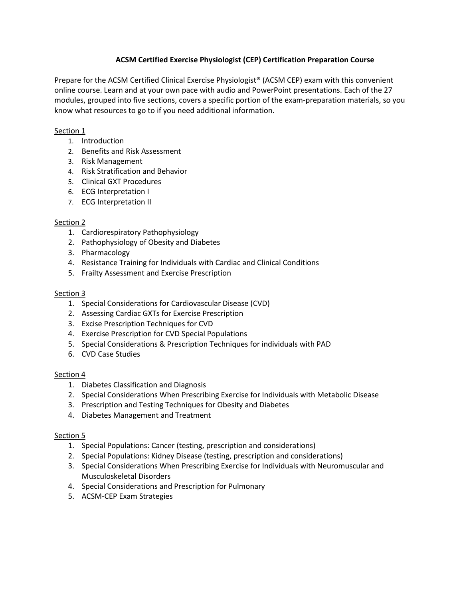## **ACSM Certified Exercise Physiologist (CEP) Certification Preparation Course**

Prepare for the ACSM Certified Clinical Exercise Physiologist® (ACSM CEP) exam with this convenient online course. Learn and at your own pace with audio and PowerPoint presentations. Each of the 27 modules, grouped into five sections, covers a specific portion of the exam-preparation materials, so you know what resources to go to if you need additional information.

#### Section 1

- 1. Introduction
- 2. Benefits and Risk Assessment
- 3. Risk Management
- 4. Risk Stratification and Behavior
- 5. Clinical GXT Procedures
- 6. ECG Interpretation I
- 7. ECG Interpretation II

# Section 2

- 1. Cardiorespiratory Pathophysiology
- 2. Pathophysiology of Obesity and Diabetes
- 3. Pharmacology
- 4. Resistance Training for Individuals with Cardiac and Clinical Conditions
- 5. Frailty Assessment and Exercise Prescription

## Section 3

- 1. Special Considerations for Cardiovascular Disease (CVD)
- 2. Assessing Cardiac GXTs for Exercise Prescription
- 3. Excise Prescription Techniques for CVD
- 4. Exercise Prescription for CVD Special Populations
- 5. Special Considerations & Prescription Techniques for individuals with PAD
- 6. CVD Case Studies

# Section 4

- 1. Diabetes Classification and Diagnosis
- 2. Special Considerations When Prescribing Exercise for Individuals with Metabolic Disease
- 3. Prescription and Testing Techniques for Obesity and Diabetes
- 4. Diabetes Management and Treatment

# Section 5

- 1. Special Populations: Cancer (testing, prescription and considerations)
- 2. Special Populations: Kidney Disease (testing, prescription and considerations)
- 3. Special Considerations When Prescribing Exercise for Individuals with Neuromuscular and Musculoskeletal Disorders
- 4. Special Considerations and Prescription for Pulmonary
- 5. ACSM-CEP Exam Strategies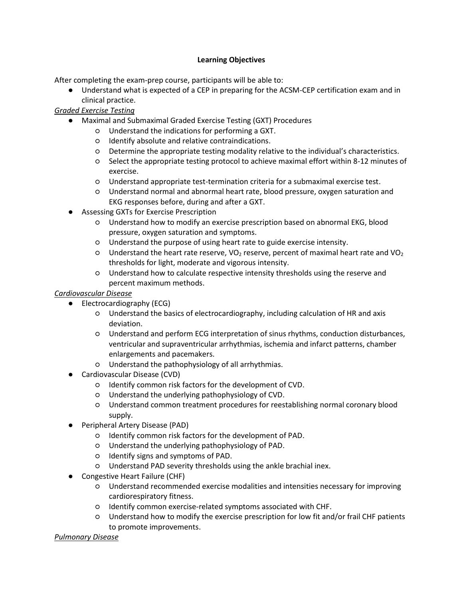## **Learning Objectives**

After completing the exam-prep course, participants will be able to:

● Understand what is expected of a CEP in preparing for the ACSM-CEP certification exam and in clinical practice.

# *Graded Exercise Testing*

- Maximal and Submaximal Graded Exercise Testing (GXT) Procedures
	- Understand the indications for performing a GXT.
	- Identify absolute and relative contraindications.
	- Determine the appropriate testing modality relative to the individual's characteristics.
	- Select the appropriate testing protocol to achieve maximal effort within 8-12 minutes of exercise.
	- Understand appropriate test-termination criteria for a submaximal exercise test.
	- Understand normal and abnormal heart rate, blood pressure, oxygen saturation and EKG responses before, during and after a GXT.
- Assessing GXTs for Exercise Prescription
	- Understand how to modify an exercise prescription based on abnormal EKG, blood pressure, oxygen saturation and symptoms.
	- Understand the purpose of using heart rate to guide exercise intensity.
	- $\circ$  Understand the heart rate reserve, VO<sub>2</sub> reserve, percent of maximal heart rate and VO<sub>2</sub> thresholds for light, moderate and vigorous intensity.
	- Understand how to calculate respective intensity thresholds using the reserve and percent maximum methods.

# *Cardiovascular Disease*

- Electrocardiography (ECG)
	- Understand the basics of electrocardiography, including calculation of HR and axis deviation.
	- Understand and perform ECG interpretation of sinus rhythms, conduction disturbances, ventricular and supraventricular arrhythmias, ischemia and infarct patterns, chamber enlargements and pacemakers.
	- Understand the pathophysiology of all arrhythmias.
- Cardiovascular Disease (CVD)
	- Identify common risk factors for the development of CVD.
	- Understand the underlying pathophysiology of CVD.
	- Understand common treatment procedures for reestablishing normal coronary blood supply.
- Peripheral Artery Disease (PAD)
	- Identify common risk factors for the development of PAD.
	- Understand the underlying pathophysiology of PAD.
	- Identify signs and symptoms of PAD.
	- Understand PAD severity thresholds using the ankle brachial inex.
- Congestive Heart Failure (CHF)
	- Understand recommended exercise modalities and intensities necessary for improving cardiorespiratory fitness.
	- Identify common exercise-related symptoms associated with CHF.
	- Understand how to modify the exercise prescription for low fit and/or frail CHF patients to promote improvements.

*Pulmonary Disease*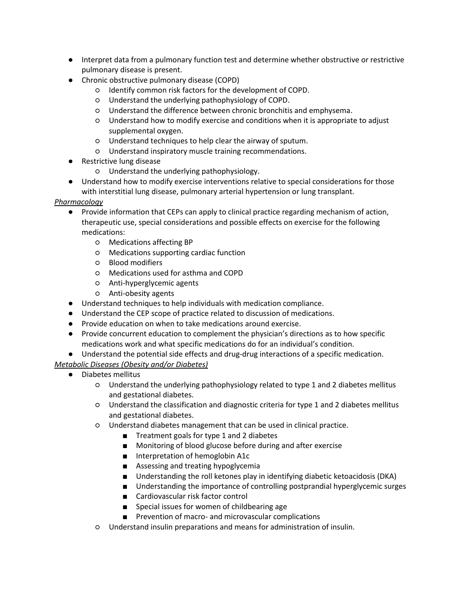- Interpret data from a pulmonary function test and determine whether obstructive or restrictive pulmonary disease is present.
- Chronic obstructive pulmonary disease (COPD)
	- Identify common risk factors for the development of COPD.
	- Understand the underlying pathophysiology of COPD.
	- Understand the difference between chronic bronchitis and emphysema.
	- Understand how to modify exercise and conditions when it is appropriate to adjust supplemental oxygen.
	- Understand techniques to help clear the airway of sputum.
	- Understand inspiratory muscle training recommendations.
- Restrictive lung disease
	- Understand the underlying pathophysiology.
- Understand how to modify exercise interventions relative to special considerations for those with interstitial lung disease, pulmonary arterial hypertension or lung transplant.

# *Pharmacology*

- Provide information that CEPs can apply to clinical practice regarding mechanism of action, therapeutic use, special considerations and possible effects on exercise for the following medications:
	- Medications affecting BP
	- Medications supporting cardiac function
	- Blood modifiers
	- Medications used for asthma and COPD
	- Anti-hyperglycemic agents
	- Anti-obesity agents
- Understand techniques to help individuals with medication compliance.
- Understand the CEP scope of practice related to discussion of medications.
- Provide education on when to take medications around exercise.
- Provide concurrent education to complement the physician's directions as to how specific medications work and what specific medications do for an individual's condition.
- Understand the potential side effects and drug-drug interactions of a specific medication.

# *Metabolic Diseases (Obesity and/or Diabetes)*

- Diabetes mellitus
	- Understand the underlying pathophysiology related to type 1 and 2 diabetes mellitus and gestational diabetes.
	- Understand the classification and diagnostic criteria for type 1 and 2 diabetes mellitus and gestational diabetes.
	- Understand diabetes management that can be used in clinical practice.
		- Treatment goals for type 1 and 2 diabetes
		- Monitoring of blood glucose before during and after exercise
		- Interpretation of hemoglobin A1c
		- Assessing and treating hypoglycemia
		- Understanding the roll ketones play in identifying diabetic ketoacidosis (DKA)
		- Understanding the importance of controlling postprandial hyperglycemic surges
		- Cardiovascular risk factor control
		- Special issues for women of childbearing age
		- Prevention of macro- and microvascular complications
	- Understand insulin preparations and means for administration of insulin.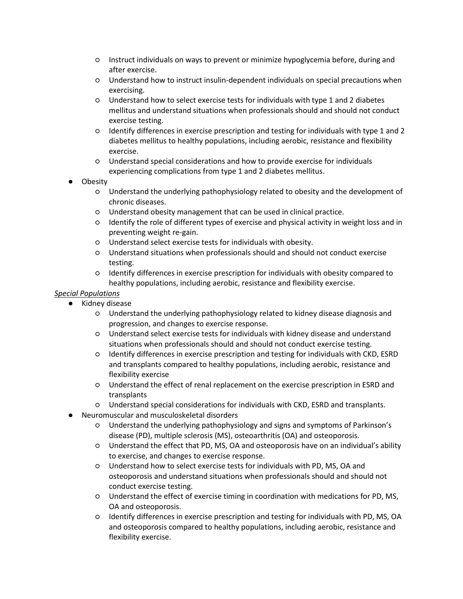- Instruct individuals on ways to prevent or minimize hypoglycemia before, during and after exercise.
- Understand how to instruct insulin-dependent individuals on special precautions when exercising.
- Understand how to select exercise tests for individuals with type 1 and 2 diabetes mellitus and understand situations when professionals should and should not conduct exercise testing.
- Identify differences in exercise prescription and testing for individuals with type 1 and 2 diabetes mellitus to healthy populations, including aerobic, resistance and flexibility exercise.
- Understand special considerations and how to provide exercise for individuals experiencing complications from type 1 and 2 diabetes mellitus.
- **Obesity** 
	- Understand the underlying pathophysiology related to obesity and the development of chronic diseases.
	- Understand obesity management that can be used in clinical practice.
	- Identify the role of different types of exercise and physical activity in weight loss and in preventing weight re-gain.
	- Understand select exercise tests for individuals with obesity.
	- Understand situations when professionals should and should not conduct exercise testing.
	- Identify differences in exercise prescription for individuals with obesity compared to healthy populations, including aerobic, resistance and flexibility exercise.

## *Special Populations*

- Kidney disease
	- Understand the underlying pathophysiology related to kidney disease diagnosis and progression, and changes to exercise response.
	- Understand select exercise tests for individuals with kidney disease and understand situations when professionals should and should not conduct exercise testing.
	- Identify differences in exercise prescription and testing for individuals with CKD, ESRD and transplants compared to healthy populations, including aerobic, resistance and flexibility exercise
	- Understand the effect of renal replacement on the exercise prescription in ESRD and transplants
	- Understand special considerations for individuals with CKD, ESRD and transplants.
- Neuromuscular and musculoskeletal disorders
	- Understand the underlying pathophysiology and signs and symptoms of Parkinson's disease (PD), multiple sclerosis (MS), osteoarthritis (OA) and osteoporosis.
	- Understand the effect that PD, MS, OA and osteoporosis have on an individual's ability to exercise, and changes to exercise response.
	- Understand how to select exercise tests for individuals with PD, MS, OA and osteoporosis and understand situations when professionals should and should not conduct exercise testing.
	- Understand the effect of exercise timing in coordination with medications for PD, MS, OA and osteoporosis.
	- Identify differences in exercise prescription and testing for individuals with PD, MS, OA and osteoporosis compared to healthy populations, including aerobic, resistance and flexibility exercise.